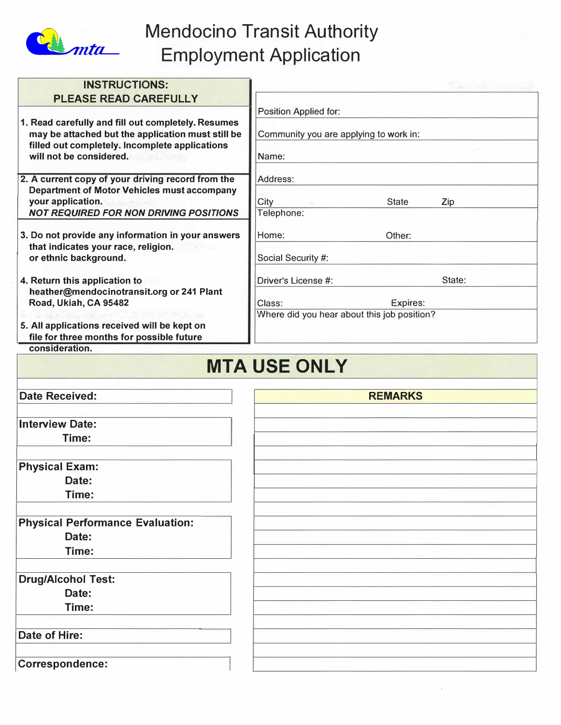

# Mendocino Transit Authority Employment Application

| <b>INSTRUCTIONS:</b>                                                                                                                                                                 |                                                       |                     |
|--------------------------------------------------------------------------------------------------------------------------------------------------------------------------------------|-------------------------------------------------------|---------------------|
| <b>PLEASE READ CAREFULLY</b>                                                                                                                                                         |                                                       |                     |
|                                                                                                                                                                                      | Position Applied for:                                 |                     |
| 1. Read carefully and fill out completely. Resumes<br>may be attached but the application must still be<br>filled out completely. Incomplete applications<br>will not be considered. | Community you are applying to work in:<br>Name:       |                     |
| 2. A current copy of your driving record from the<br><b>Department of Motor Vehicles must accompany</b><br>your application.                                                         | Address:<br>City                                      | <b>State</b><br>Zip |
| <b>NOT REQUIRED FOR NON DRIVING POSITIONS</b>                                                                                                                                        | Telephone:                                            |                     |
| 3. Do not provide any information in your answers<br>that indicates your race, religion.<br>or ethnic background.                                                                    | Home:<br>Social Security #:                           | Other:              |
| 4. Return this application to                                                                                                                                                        | Driver's License #:                                   | State:              |
| heather@mendocinotransit.org or 241 Plant<br>Road, Ukiah, CA 95482                                                                                                                   | Class:<br>Where did you hear about this job position? | Expires:            |
| 5. All applications received will be kept on<br>file for three months for possible future                                                                                            |                                                       |                     |
| consideration.                                                                                                                                                                       |                                                       |                     |
|                                                                                                                                                                                      |                                                       |                     |
|                                                                                                                                                                                      | <b>MTA USE ONLY</b>                                   |                     |
| <b>Date Received:</b>                                                                                                                                                                | <b>REMARKS</b>                                        |                     |
| <b>Interview Date:</b>                                                                                                                                                               |                                                       |                     |
| Time:                                                                                                                                                                                |                                                       |                     |
| <b>Physical Exam:</b>                                                                                                                                                                |                                                       |                     |
| Date:<br>Time:                                                                                                                                                                       |                                                       |                     |
| <b>Physical Performance Evaluation:</b>                                                                                                                                              |                                                       |                     |
| Date:<br>Time:                                                                                                                                                                       |                                                       |                     |
| <b>Drug/Alcohol Test:</b>                                                                                                                                                            |                                                       |                     |
| Date:                                                                                                                                                                                |                                                       |                     |
| Time:                                                                                                                                                                                |                                                       |                     |
| Date of Hire:                                                                                                                                                                        |                                                       |                     |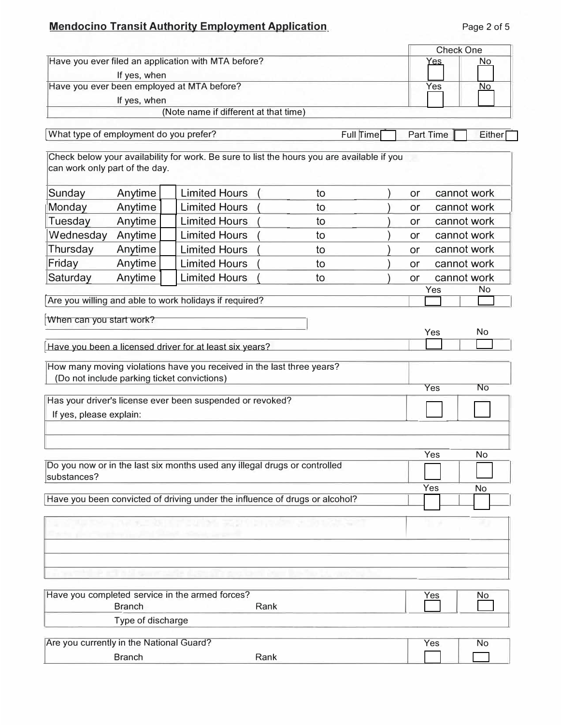# **Mendocino Transit Authority Employment Application**

|                                            |                   |                                                                                                                      |      |           |           | <b>Check One</b> |             |
|--------------------------------------------|-------------------|----------------------------------------------------------------------------------------------------------------------|------|-----------|-----------|------------------|-------------|
|                                            |                   | Have you ever filed an application with MTA before?                                                                  |      |           |           | Yes              | No.         |
|                                            | If yes, when      |                                                                                                                      |      |           |           |                  |             |
| Have you ever been employed at MTA before? |                   |                                                                                                                      |      | Yes       | No        |                  |             |
|                                            | If yes, when      | (Note name if different at that time)                                                                                |      |           |           |                  |             |
|                                            |                   |                                                                                                                      |      |           |           |                  |             |
| What type of employment do you prefer?     |                   |                                                                                                                      |      | Full Time |           | <b>Part Time</b> | Either      |
| can work only part of the day.             |                   | Check below your availability for work. Be sure to list the hours you are available if you                           |      |           |           |                  |             |
| Sunday                                     | Anytime           | <b>Limited Hours</b>                                                                                                 |      | to        | or        |                  | cannot work |
| Monday                                     | Anytime           | <b>Limited Hours</b>                                                                                                 |      | to        | or        |                  | cannot work |
| Tuesday                                    | Anytime           | <b>Limited Hours</b>                                                                                                 |      | to        | or        |                  | cannot work |
| Wednesday                                  | Anytime           | <b>Limited Hours</b>                                                                                                 |      | to        | <b>or</b> |                  | cannot work |
| Thursday                                   | Anytime           | <b>Limited Hours</b>                                                                                                 |      | to        | <b>or</b> |                  | cannot work |
| Friday                                     | Anytime           | <b>Limited Hours</b>                                                                                                 |      | to        | or        |                  | cannot work |
| Saturday                                   | Anytime           | <b>Limited Hours</b>                                                                                                 |      | to        | or        |                  | cannot work |
|                                            |                   |                                                                                                                      |      |           |           | Yes              | No          |
|                                            |                   | Are you willing and able to work holidays if required?                                                               |      |           |           |                  |             |
|                                            |                   | How many moving violations have you received in the last three years?<br>(Do not include parking ticket convictions) |      |           |           |                  |             |
|                                            |                   |                                                                                                                      |      |           |           | <b>Yes</b>       | No          |
| If yes, please explain:                    |                   | Has your driver's license ever been suspended or revoked?                                                            |      |           |           |                  |             |
|                                            |                   |                                                                                                                      |      |           |           |                  |             |
|                                            |                   |                                                                                                                      |      |           |           |                  |             |
|                                            |                   | Do you now or in the last six months used any illegal drugs or controlled                                            |      |           |           | Yes              | <b>No</b>   |
| substances?                                |                   |                                                                                                                      |      |           |           |                  |             |
|                                            |                   | Have you been convicted of driving under the influence of drugs or alcohol?                                          |      |           |           | Yes              | No          |
|                                            |                   |                                                                                                                      |      |           |           |                  |             |
|                                            |                   |                                                                                                                      |      |           |           |                  |             |
|                                            |                   |                                                                                                                      |      |           |           |                  |             |
|                                            |                   |                                                                                                                      |      |           |           |                  |             |
|                                            |                   |                                                                                                                      |      |           |           |                  |             |
|                                            | <b>Branch</b>     | Have you completed service in the armed forces?                                                                      | Rank |           |           | Yes              | <u>No</u>   |
|                                            | Type of discharge |                                                                                                                      |      |           |           |                  |             |
| Are you currently in the National Guard?   |                   |                                                                                                                      |      |           |           | Yes              | No          |
|                                            | <b>Branch</b>     |                                                                                                                      | Rank |           |           |                  |             |
|                                            |                   |                                                                                                                      |      |           |           |                  |             |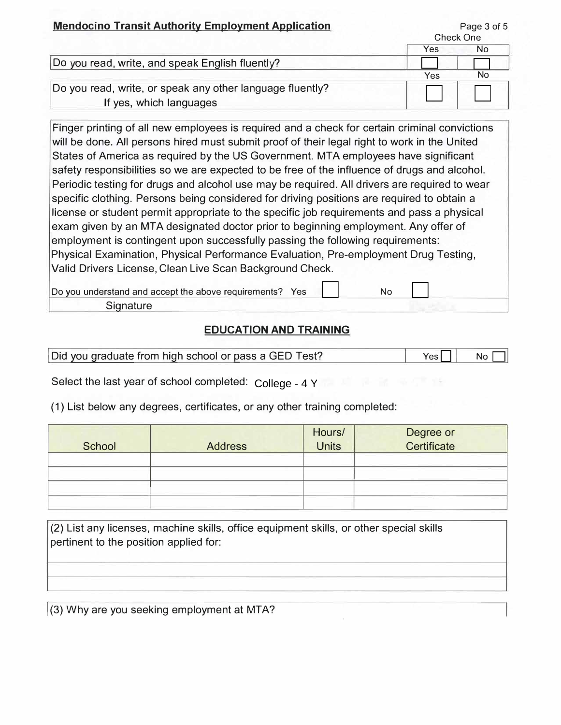| <u>Mendocino Transit Authority Employment Application</u> |     | Page 3 of 5<br><b>Check One</b> |
|-----------------------------------------------------------|-----|---------------------------------|
|                                                           | Yes | No                              |
| Do you read, write, and speak English fluently?           |     |                                 |
|                                                           | Yes | No                              |
| Do you read, write, or speak any other language fluently? |     |                                 |
| If yes, which languages                                   |     |                                 |

Finger printing of all new employees is required and a check for certain criminal convictions will be done. All persons hired must submit proof of their legal right to work in the United States of America as required by the US Government. MTA employees have significant safety responsibilities so we are expected to be free of the influence of drugs and alcohol. Periodic testing for drugs and alcohol use may be required. All drivers are required to wear specific clothing. Persons being considered for driving positions are required to obtain a license or student permit appropriate to the specific job requirements and pass a physical exam given by an MTA designated doctor prior to beginning employment. Any offer of employment is contingent upon successfully passing the following requirements: Physical Examination, Physical Performance Evaluation, Pre-employment Drug Testing, Valid Drivers License, Clean Live Scan Background Check.

Do you understand and accept the above requirements? Yes | | No

**Signature** 

### **EDUCATION AND TRAINING**

| Did you graduate from high school or pass a GED Test? | NΩ |
|-------------------------------------------------------|----|

Select the last year of school completed:  $\,$  College - 4 Y  $\,$   $\,$ 

(1) List below any degrees, certificates, or any other training completed:

| School | <b>Address</b> | Hours/<br><b>Units</b> | Degree or<br>Certificate |
|--------|----------------|------------------------|--------------------------|
|        | ---            |                        | ___                      |
|        |                |                        |                          |
|        |                |                        |                          |
|        |                |                        |                          |
|        |                |                        |                          |

(2) List any licenses, machine skills, office equipment skills, or other special skills pertinent to the position applied for:

 $(3)$  Why are you seeking employment at MTA?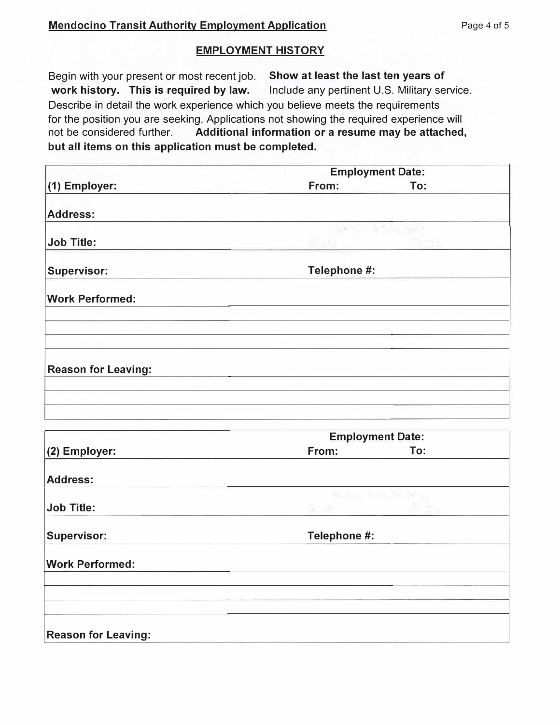#### **EMPLOYMENT HISTORY**

Begin with your present or most recent job. **work history. This is required by law. Show at least the last ten years of**  Include any pertinent U.S. Military service. Describe in detail the work experience which you believe meets the requirements for the position you are seeking. Applications not showing the required experience will not be considered further. **Additional information or a resume may be attached, but all items on this application must be completed.** 

|                            | <b>Employment Date:</b> |                         |  |
|----------------------------|-------------------------|-------------------------|--|
| (1) Employer:              | From:                   | To:                     |  |
| <b>Address:</b>            |                         |                         |  |
|                            |                         | <b>CONTRACTOR</b>       |  |
| <b>Job Title:</b>          | ЖV                      | 5254                    |  |
| <b>Supervisor:</b>         | Telephone #:            |                         |  |
| <b>Work Performed:</b>     |                         |                         |  |
|                            |                         |                         |  |
| <b>Reason for Leaving:</b> |                         |                         |  |
|                            |                         |                         |  |
|                            |                         |                         |  |
|                            |                         | <b>Employment Date:</b> |  |
| (2) Employer:              | From:                   | To:                     |  |
| <b>Address:</b>            |                         |                         |  |
|                            |                         | Webling Robert Plater   |  |
| <b>Job Title:</b>          | Quality Corp.           | agua,                   |  |
| <b>Supervisor:</b>         | Telephone #:            |                         |  |
| <b>Work Performed:</b>     |                         |                         |  |
|                            |                         |                         |  |
|                            |                         |                         |  |
| <b>Reason for Leaving:</b> |                         |                         |  |
|                            |                         |                         |  |